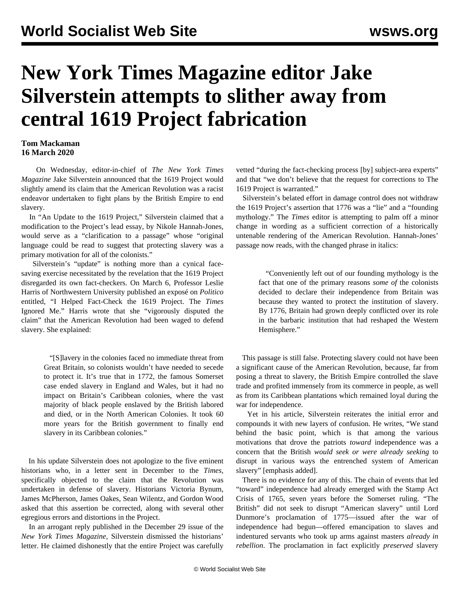## **New York Times Magazine editor Jake Silverstein attempts to slither away from central 1619 Project fabrication**

## **Tom Mackaman 16 March 2020**

 On Wednesday, editor-in-chief of *The New York Times Magazine* Jake Silverstein announced that the 1619 Project would slightly amend its claim that the American Revolution was a racist endeavor undertaken to fight plans by the British Empire to end slavery.

 In "An Update to the 1619 Project," Silverstein claimed that a modification to the Project's lead essay, by Nikole Hannah-Jones, would serve as a "clarification to a passage" whose "original language could be read to suggest that protecting slavery was a primary motivation for all of the colonists."

 Silverstein's "update" is nothing more than a cynical facesaving exercise necessitated by the revelation that the 1619 Project disregarded its own fact-checkers. On March 6, Professor Leslie Harris of Northwestern University published an exposé on *Politico* entitled, "I Helped Fact-Check the 1619 Project. The *Times* Ignored Me." Harris wrote that she "vigorously disputed the claim" that the American Revolution had been waged to defend slavery. She explained:

> "[S]lavery in the colonies faced no immediate threat from Great Britain, so colonists wouldn't have needed to secede to protect it. It's true that in 1772, the famous Somerset case ended slavery in England and Wales, but it had no impact on Britain's Caribbean colonies, where the vast majority of black people enslaved by the British labored and died, or in the North American Colonies. It took 60 more years for the British government to finally end slavery in its Caribbean colonies."

 In his update Silverstein does not apologize to the five eminent historians who, in a letter sent in December to the *Times,* specifically objected to the claim that the Revolution was undertaken in defense of slavery. Historians Victoria Bynum, James McPherson, James Oakes, Sean Wilentz, and Gordon Wood asked that this assertion be corrected, along with several other egregious errors and distortions in the Project.

 In an arrogant reply published in the December 29 issue of the *New York Times Magazine*, Silverstein dismissed the historians' letter. He claimed dishonestly that the entire Project was carefully vetted "during the fact-checking process [by] subject-area experts" and that "we don't believe that the request for corrections to The 1619 Project is warranted."

 Silverstein's belated effort in damage control does not withdraw the 1619 Project's assertion that 1776 was a "lie" and a "founding mythology." The *Times* editor is attempting to palm off a minor change in wording as a sufficient correction of a historically untenable rendering of the American Revolution. Hannah-Jones' passage now reads, with the changed phrase in italics:

> "Conveniently left out of our founding mythology is the fact that one of the primary reasons *some of* the colonists decided to declare their independence from Britain was because they wanted to protect the institution of slavery. By 1776, Britain had grown deeply conflicted over its role in the barbaric institution that had reshaped the Western Hemisphere."

 This passage is still false. Protecting slavery could not have been a significant cause of the American Revolution, because, far from posing a threat to slavery, the British Empire controlled the slave trade and profited immensely from its commerce in people, as well as from its Caribbean plantations which remained loyal during the war for independence.

 Yet in his article, Silverstein reiterates the initial error and compounds it with new layers of confusion. He writes, "We stand behind the basic point, which is that among the various motivations that drove the patriots *toward* independence was a concern that the British *would seek or were already seeking* to disrupt in various ways the entrenched system of American slavery" [emphasis added].

 There is no evidence for any of this. The chain of events that led "toward" independence had already emerged with the Stamp Act Crisis of 1765, seven years before the Somerset ruling. "The British" did not seek to disrupt "American slavery" until Lord Dunmore's proclamation of 1775—issued after the war of independence had begun—offered emancipation to slaves and indentured servants who took up arms against masters *already in rebellion*. The proclamation in fact explicitly *preserved* slavery